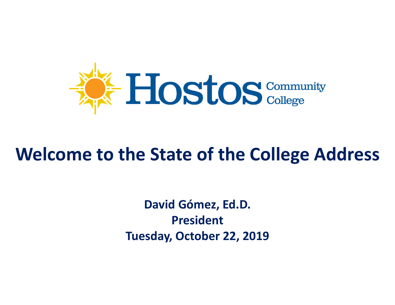

#### **Welcome to the State of the College Address**

**David Gómez, Ed.D. PresidentTuesday, October 22, 2019**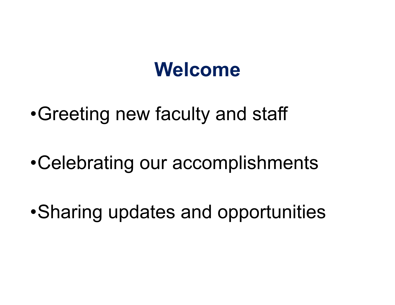### **Welcome**

•Greeting new faculty and staff

•Celebrating our accomplishments

•Sharing updates and opportunities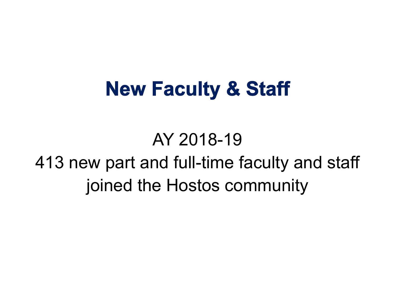### **New Faculty & Staff**

AY 2018-19413 new part and full-time faculty and staff joined the Hostos community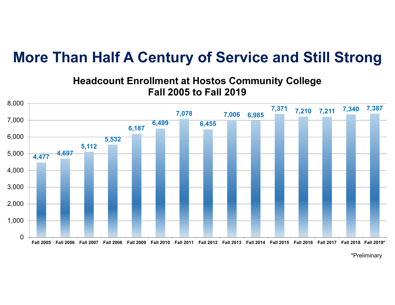#### **More Than Half A Century of Service and Still Strong**



#### **Headcount Enrollment at Hostos Community College Fall 2005 to Fall 2019**

\*Preliminary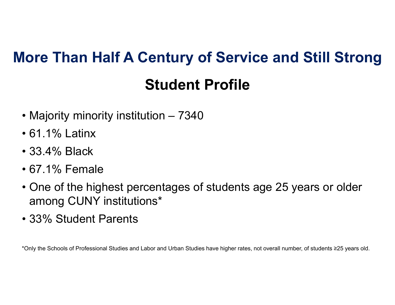## **Student ProfileMore Than Half A Century of Service and Still Strong**

- Majority minority institution 7340
- 61.1% Latinx
- 33.4% Black
- 67.1% Female
- One of the highest percentages of students age 25 years or older among CUNY institutions\*
- 33% Student Parents

\*Only the Schools of Professional Studies and Labor and Urban Studies have higher rates, not overall number, of students ≥25 years old.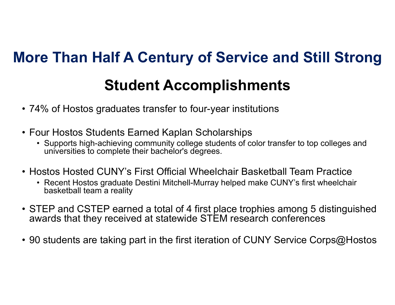# **Student Accomplishments More Than Half A Century of Service and Still Strong**

- 74% of Hostos graduates transfer to four-year institutions
- Four Hostos Students Earned Kaplan Scholarships
	- Supports high-achieving community college students of color transfer to top colleges and universities to complete their bachelor's degrees.
- Hostos Hosted CUNY's First Official Wheelchair Basketball Team Practice
	- Recent Hostos graduate Destini Mitchell-Murray helped make CUNY's first wheelchair basketball team a reality
- STEP and CSTEP earned a total of 4 first place trophies among 5 distinguished awards that they received at statewide STEM research conference s
- 90 students are taking part in the first iteration of CUNY Service Corps@Hostos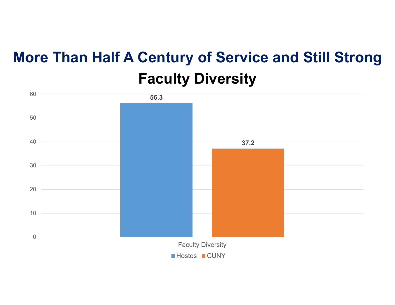#### **Faculty Diversity More Than Half A Century of Service and Still Strong**

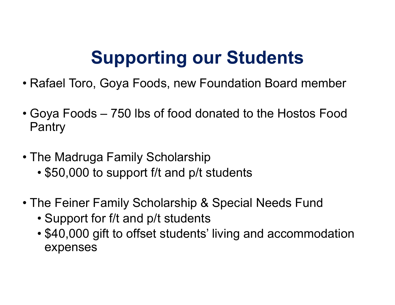### **Supporting our Students**

- Rafael Toro, Goya Foods, new Foundation Board member
- Goya Foods 750 lbs of food donated to the Hostos Food Pantry
- The Madruga Family Scholarship
	- \$50,000 to support f/t and p/t students
- The Feiner Family Scholarship & Special Needs Fund
	- Support for f/t and p/t students
	- \$40,000 gift to offset students' living and accommodation expenses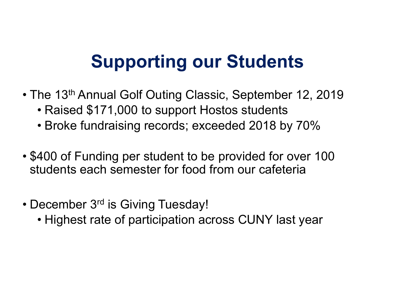### **Supporting our Students**

- The 13<sup>th</sup> Annual Golf Outing Classic, September 12, 2019
	- Raised \$171,000 to support Hostos students
	- Broke fundraising records; exceeded 2018 by 70%
- \$400 of Funding per student to be provided for over 100 students each semester for food from our cafeteria
- December 3<sup>rd</sup> is Giving Tuesday!
	- Highest rate of participation across CUNY last year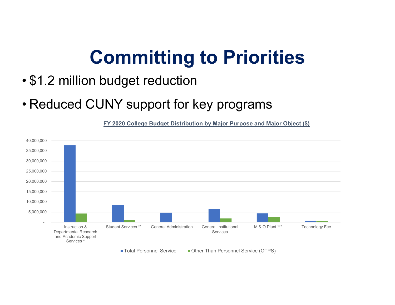### **Committing to Priorities**

- •\$1.2 million budget reduction
- Reduced CUNY support for key programs

**FY 2020 College Budget Distribution by Major Purpose and Major Object (\$)**

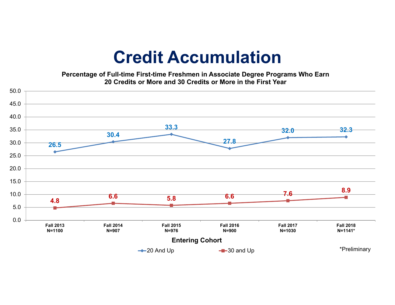#### **Credit Accumulation**

**Percentage of Full-time First-time Freshmen in Associate Degree Programs Who Earn 20 Credits or More and 30 Credits or More in the First Year**

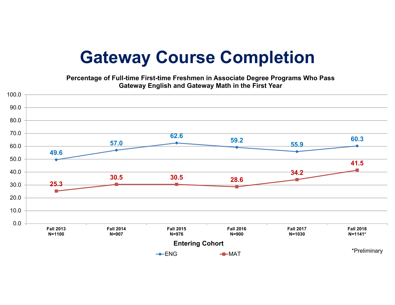#### **Gateway Course Completion**

**Percentage of Full-time First-time Freshmen in Associate Degree Programs Who Pass Gateway English and Gateway Math in the First Year**

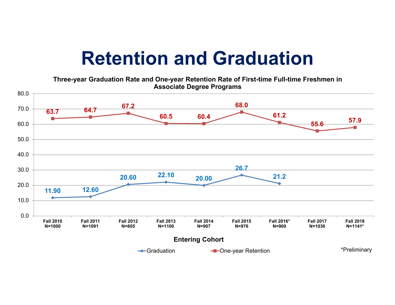### **Retention and Graduation**

**Three-year Graduation Rate and One-year Retention Rate of First-time Full-time Freshmen in Associate Degree Programs** 

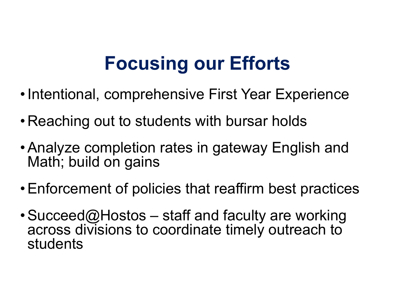### **Focusing our Efforts**

- Intentional, comprehensive First Year Experience
- Reaching out to students with bursar holds
- Analyze completion rates in gateway English and Math; build on gains
- Enforcement of policies that reaffirm best practices
- $\bullet$  Succeed@Hostos staff and faculty are working across divisions to coordinate timely outreach to students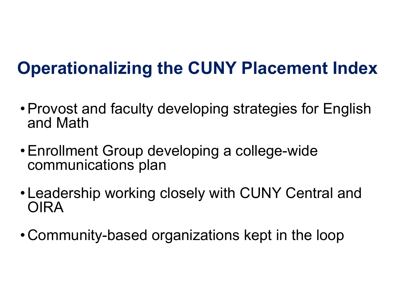### **Operationalizing the CUNY Placement Index**

- Provost and faculty developing strategies for English and Math
- Enrollment Group developing a college-wide communications plan
- Leadership working closely with CUNY Central and OIRA
- Community-based organizations kept in the loop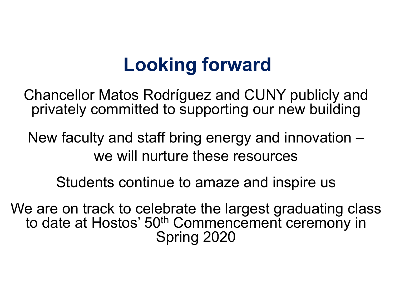### **Looking forward**

Chancellor Matos Rodríguez and CUNY publicly and privately committed to supporting our new building

New faculty and staff bring energy and innovation – we will nurture these resources

Students continue to amaze and inspire us

We are on track to celebrate the largest graduating class to date at Hostos' 50<sup>th</sup> Commencement ceremony in Spring 2020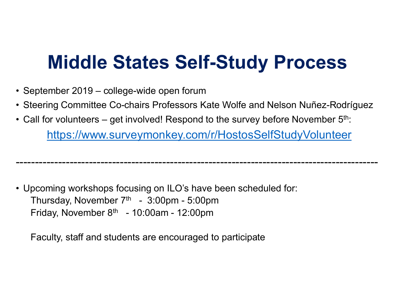### **Middle States Self-Study Process**

- September 2019 college-wide open forum
- Steering Committee Co-chairs Professors Kate Wolfe and Nelson Nuñez-Rodríguez
- Call for volunteers get involved! Respond to the survey before November  $5^{\rm th}$ :

https://www.surveymonkey.com/r/HostosSelfStudyVolunteer

----------------------------------------------------------------------------------------------

• Upcoming workshops focusing on ILO's have been scheduled for: Thursday, November  $7<sup>th</sup> - 3:00<sup>pm</sup> - 5:00<sup>pm</sup>$ Friday, November  $8<sup>th</sup> - 10:00$ am - 12:00pm

Faculty, staff and students are encouraged to participate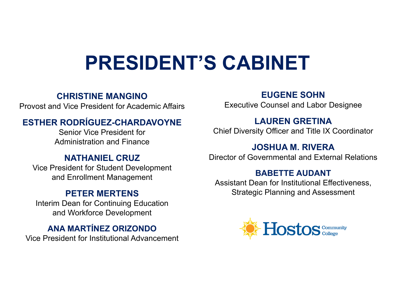# **PRESIDENT'S CABINET**

#### **CHRISTINE MANGINO**

Provost and Vice President for Academic Affairs

#### **ESTHER RODRÍGUEZ-CHARDAVOYNE**

Senior Vice President forAdministration and Finance

#### **NATHANIEL CRUZ**

Vice President for Student Development and Enrollment Management

#### **PETER MERTENS**

Interim Dean for Continuing Education and Workforce Development

#### **ANA MARTÍNEZ ORIZONDO**

Vice President for Institutional Advancement

#### **EUGENE SOHN**

Executive Counsel and Labor Designee

#### **LAUREN GRETINA**

Chief Diversity Officer and Title IX Coordinator

#### **JOSHUA M. RIVERA**

Director of Governmental and External Relations

#### **BABETTE AUDANT**

Assistant Dean for Institutional Effectiveness, Strategic Planning and Assessment